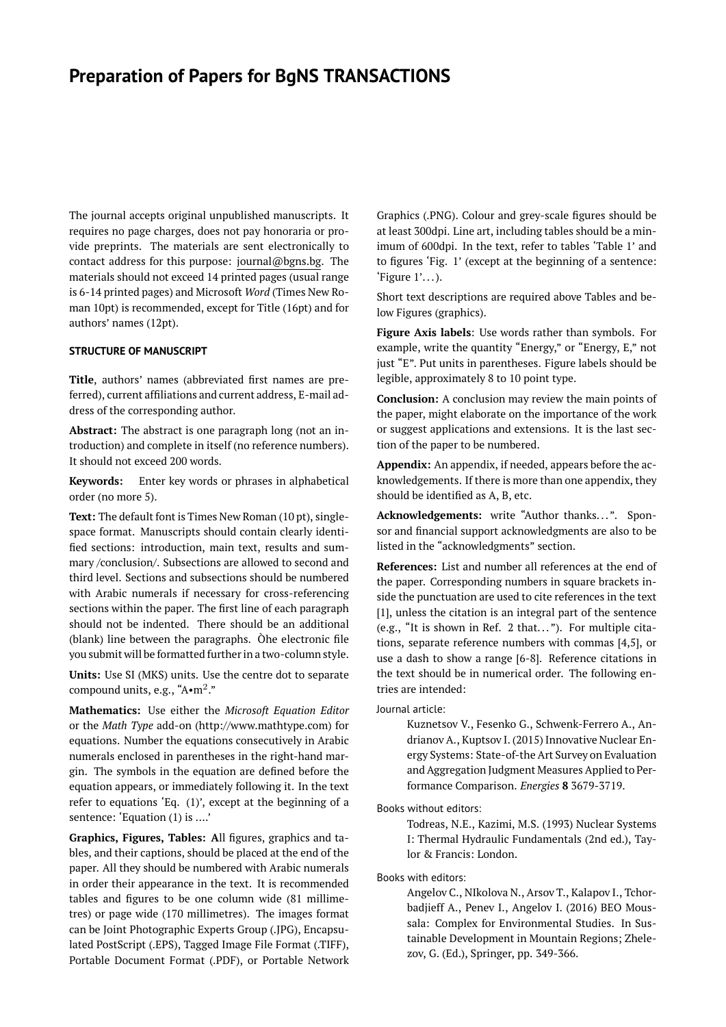# **Preparation of Papers for BgNS TRANSACTIONS**

The journal accepts original unpublished manuscripts. It requires no page charges, does not pay honoraria or provide preprints. The materials are sent electronically to contact address for this purpose: journal@bgns.bg. The materials should not exceed 14 printed pages (usual range is 6-14 printed pages) and Microsoft *Word* (Times New Roman 10pt) is recommended, except for Title (16pt) and for authors' names (12pt).

#### **STRUCTURE OF MANUSCRIPT**

**Title**, authors' names (abbreviated first names are preferred), current affiliations and current address, E-mail address of the corresponding author.

**Abstract:** The abstract is one paragraph long (not an introduction) and complete in itself (no reference numbers). It should not exceed 200 words.

**Keywords:** Enter key words or phrases in alphabetical order (no more 5).

**Text:** The default font is Times New Roman (10 pt), singlespace format. Manuscripts should contain clearly identified sections: introduction, main text, results and summary /conclusion/. Subsections are allowed to second and third level. Sections and subsections should be numbered with Arabic numerals if necessary for cross-referencing sections within the paper. The first line of each paragraph should not be indented. There should be an additional (blank) line between the paragraphs. Òhe electronic file you submit will be formatted further in a two-column style.

**Units:** Use SI (MKS) units. Use the centre dot to separate compound units, e.g., "A•m $^2$ ."

**Mathematics:** Use either the *Microsoft Equation Editor* or the *Math Type* add-on (http://www.mathtype.com) for equations. Number the equations consecutively in Arabic numerals enclosed in parentheses in the right-hand margin. The symbols in the equation are defined before the equation appears, or immediately following it. In the text refer to equations 'Eq. (1)', except at the beginning of a sentence: 'Equation (1) is ....'

**Graphics, Figures, Tables: A**ll figures, graphics and tables, and their captions, should be placed at the end of the paper. All they should be numbered with Arabic numerals in order their appearance in the text. It is recommended tables and figures to be one column wide (81 millimetres) or page wide (170 millimetres). The images format can be Joint Photographic Experts Group (.JPG), Encapsulated PostScript (.EPS), Tagged Image File Format (.TIFF), Portable Document Format (.PDF), or Portable Network Graphics (.PNG). Colour and grey-scale figures should be at least 300dpi. Line art, including tables should be a minimum of 600dpi. In the text, refer to tables 'Table 1' and to figures 'Fig. 1' (except at the beginning of a sentence:  $'$ Figure  $1'$ ...).

Short text descriptions are required above Tables and below Figures (graphics).

**Figure Axis labels**: Use words rather than symbols. For example, write the quantity "Energy," or "Energy, E," not just "E". Put units in parentheses. Figure labels should be legible, approximately 8 to 10 point type.

**Conclusion:** A conclusion may review the main points of the paper, might elaborate on the importance of the work or suggest applications and extensions. It is the last section of the paper to be numbered.

**Appendix:** An appendix, if needed, appears before the acknowledgements. If there is more than one appendix, they should be identified as A, B, etc.

**Acknowledgements:** write "Author thanks... ". Sponsor and financial support acknowledgments are also to be listed in the "acknowledgments" section.

**References:** List and number all references at the end of the paper. Corresponding numbers in square brackets inside the punctuation are used to cite references in the text [1], unless the citation is an integral part of the sentence (e.g., "It is shown in Ref. 2 that... "). For multiple citations, separate reference numbers with commas [4,5], or use a dash to show a range [6-8]. Reference citations in the text should be in numerical order. The following entries are intended:

## Journal article:

Kuznetsov V., Fesenko G., Schwenk-Ferrero A., Andrianov A., Kuptsov I. (2015) Innovative Nuclear Energy Systems: State-of-the Art Survey on Evaluation and Aggregation Judgment Measures Applied to Performance Comparison. *Energies* **8** 3679-3719.

Books without editors:

Todreas, N.E., Kazimi, M.S. (1993) Nuclear Systems I: Thermal Hydraulic Fundamentals (2nd ed.), Taylor & Francis: London.

Books with editors:

Angelov C., NIkolova N., Arsov T., Kalapov I., Tchorbadjieff A., Penev I., Angelov I. (2016) BEO Moussala: Complex for Environmental Studies. In Sustainable Development in Mountain Regions; Zhelezov, G. (Ed.), Springer, pp. 349-366.